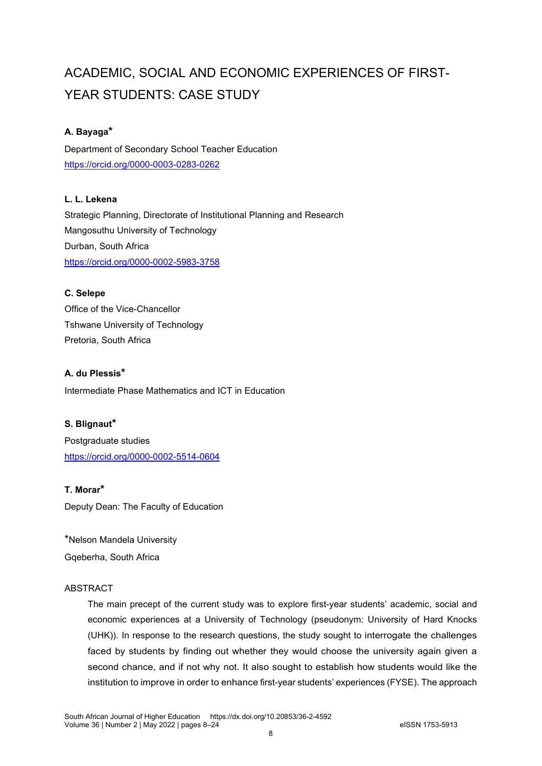# ACADEMIC, SOCIAL AND ECONOMIC EXPERIENCES OF FIRST-YEAR STUDENTS: CASE STUDY

## **A. Bayaga\***

Department of Secondary School Teacher Education <https://orcid.org/0000-0003-0283-0262>

## **L. L. Lekena**

Strategic Planning, Directorate of Institutional Planning and Research Mangosuthu University of Technology Durban, South Africa <https://orcid.org/0000-0002-5983-3758>

## **C. Selepe**

Office of the Vice-Chancellor Tshwane University of Technology Pretoria, South Africa

## **A. du Plessis\***

Intermediate Phase Mathematics and ICT in Education

## **S. Blignaut\***

Postgraduate studies <https://orcid.org/0000-0002-5514-0604>

## **T. Morar\***

Deputy Dean: The Faculty of Education

\*Nelson Mandela University Gqeberha, South Africa

## **ABSTRACT**

The main precept of the current study was to explore first-year students' academic, social and economic experiences at a University of Technology (pseudonym: University of Hard Knocks (UHK)). In response to the research questions, the study sought to interrogate the challenges faced by students by finding out whether they would choose the university again given a second chance, and if not why not. It also sought to establish how students would like the institution to improve in order to enhance first-year students' experiences (FYSE). The approach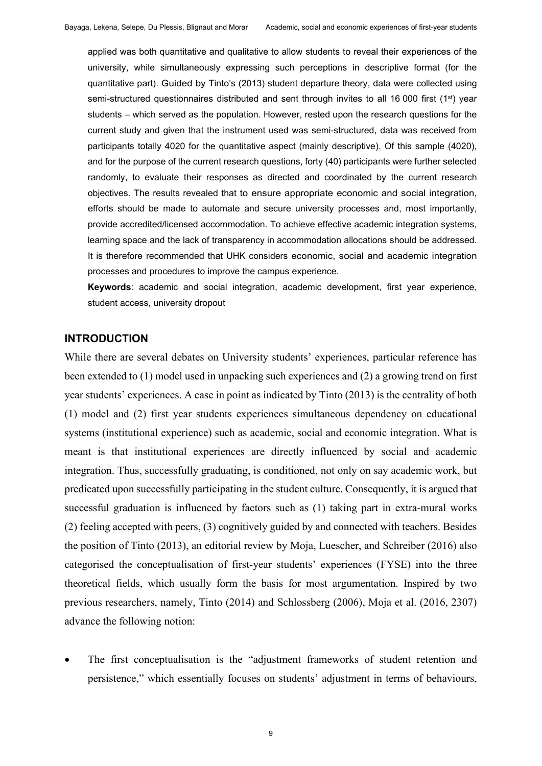applied was both quantitative and qualitative to allow students to reveal their experiences of the university, while simultaneously expressing such perceptions in descriptive format (for the quantitative part). Guided by Tinto's (2013) student departure theory, data were collected using semi-structured questionnaires distributed and sent through invites to all 16 000 first ( $1<sup>st</sup>$ ) year students – which served as the population. However, rested upon the research questions for the current study and given that the instrument used was semi-structured, data was received from participants totally 4020 for the quantitative aspect (mainly descriptive). Of this sample (4020), and for the purpose of the current research questions, forty (40) participants were further selected randomly, to evaluate their responses as directed and coordinated by the current research objectives. The results revealed that to ensure appropriate economic and social integration, efforts should be made to automate and secure university processes and, most importantly, provide accredited/licensed accommodation. To achieve effective academic integration systems, learning space and the lack of transparency in accommodation allocations should be addressed. It is therefore recommended that UHK considers economic, social and academic integration processes and procedures to improve the campus experience.

**Keywords**: academic and social integration, academic development, first year experience, student access, university dropout

### **INTRODUCTION**

While there are several debates on University students' experiences, particular reference has been extended to (1) model used in unpacking such experiences and (2) a growing trend on first year students' experiences. A case in point as indicated by Tinto (2013) is the centrality of both (1) model and (2) first year students experiences simultaneous dependency on educational systems (institutional experience) such as academic, social and economic integration. What is meant is that institutional experiences are directly influenced by social and academic integration. Thus, successfully graduating, is conditioned, not only on say academic work, but predicated upon successfully participating in the student culture. Consequently, it is argued that successful graduation is influenced by factors such as (1) taking part in extra-mural works (2) feeling accepted with peers, (3) cognitively guided by and connected with teachers. Besides the position of Tinto (2013), an editorial review by Moja, Luescher, and Schreiber (2016) also categorised the conceptualisation of first-year students' experiences (FYSE) into the three theoretical fields, which usually form the basis for most argumentation. Inspired by two previous researchers, namely, Tinto (2014) and Schlossberg (2006), Moja et al. (2016, 2307) advance the following notion:

The first conceptualisation is the "adjustment frameworks of student retention and persistence," which essentially focuses on students' adjustment in terms of behaviours,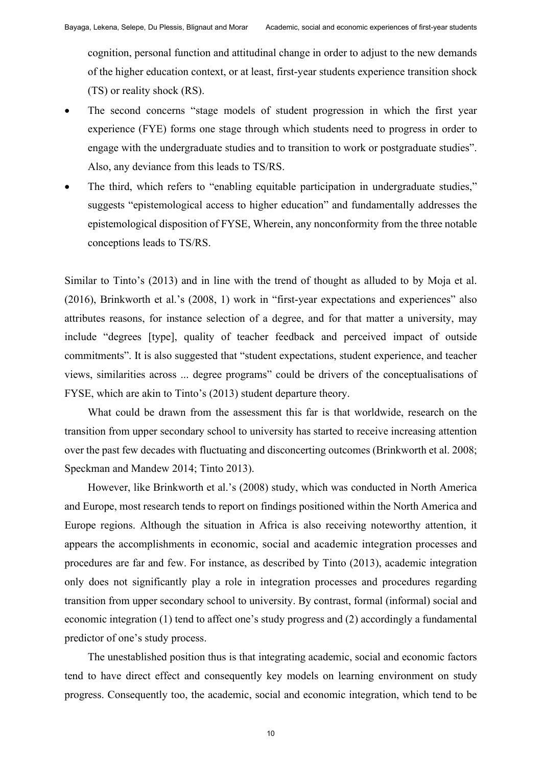cognition, personal function and attitudinal change in order to adjust to the new demands of the higher education context, or at least, first-year students experience transition shock (TS) or reality shock (RS).

- The second concerns "stage models of student progression in which the first year experience (FYE) forms one stage through which students need to progress in order to engage with the undergraduate studies and to transition to work or postgraduate studies". Also, any deviance from this leads to TS/RS.
- The third, which refers to "enabling equitable participation in undergraduate studies," suggests "epistemological access to higher education" and fundamentally addresses the epistemological disposition of FYSE, Wherein, any nonconformity from the three notable conceptions leads to TS/RS.

Similar to Tinto's (2013) and in line with the trend of thought as alluded to by Moja et al. (2016), Brinkworth et al.'s (2008, 1) work in "first-year expectations and experiences" also attributes reasons, for instance selection of a degree, and for that matter a university, may include "degrees [type], quality of teacher feedback and perceived impact of outside commitments". It is also suggested that "student expectations, student experience, and teacher views, similarities across ... degree programs" could be drivers of the conceptualisations of FYSE, which are akin to Tinto's (2013) student departure theory.

What could be drawn from the assessment this far is that worldwide, research on the transition from upper secondary school to university has started to receive increasing attention over the past few decades with fluctuating and disconcerting outcomes (Brinkworth et al. 2008; Speckman and Mandew 2014; Tinto 2013).

However, like Brinkworth et al.'s (2008) study, which was conducted in North America and Europe, most research tends to report on findings positioned within the North America and Europe regions. Although the situation in Africa is also receiving noteworthy attention, it appears the accomplishments in economic, social and academic integration processes and procedures are far and few. For instance, as described by Tinto (2013), academic integration only does not significantly play a role in integration processes and procedures regarding transition from upper secondary school to university. By contrast, formal (informal) social and economic integration (1) tend to affect one's study progress and (2) accordingly a fundamental predictor of one's study process.

The unestablished position thus is that integrating academic, social and economic factors tend to have direct effect and consequently key models on learning environment on study progress. Consequently too, the academic, social and economic integration, which tend to be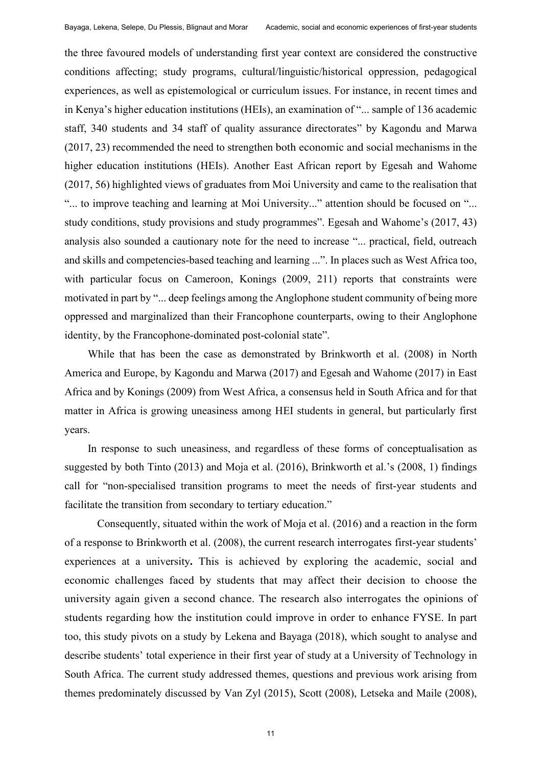the three favoured models of understanding first year context are considered the constructive conditions affecting; study programs, cultural/linguistic/historical oppression, pedagogical experiences, as well as epistemological or curriculum issues. For instance, in recent times and in Kenya's higher education institutions (HEIs), an examination of "... sample of 136 academic staff, 340 students and 34 staff of quality assurance directorates" by Kagondu and Marwa (2017, 23) recommended the need to strengthen both economic and social mechanisms in the higher education institutions (HEIs). Another East African report by Egesah and Wahome (2017, 56) highlighted views of graduates from Moi University and came to the realisation that "... to improve teaching and learning at Moi University..." attention should be focused on "... study conditions, study provisions and study programmes". Egesah and Wahome's (2017, 43) analysis also sounded a cautionary note for the need to increase "... practical, field, outreach and skills and competencies-based teaching and learning ...". In places such as West Africa too, with particular focus on Cameroon, Konings (2009, 211) reports that constraints were motivated in part by "... deep feelings among the Anglophone student community of being more oppressed and marginalized than their Francophone counterparts, owing to their Anglophone identity, by the Francophone-dominated post-colonial state".

While that has been the case as demonstrated by Brinkworth et al. (2008) in North America and Europe, by Kagondu and Marwa (2017) and Egesah and Wahome (2017) in East Africa and by Konings (2009) from West Africa, a consensus held in South Africa and for that matter in Africa is growing uneasiness among HEI students in general, but particularly first years.

In response to such uneasiness, and regardless of these forms of conceptualisation as suggested by both Tinto (2013) and Moja et al. (2016), Brinkworth et al.'s (2008, 1) findings call for "non-specialised transition programs to meet the needs of first-year students and facilitate the transition from secondary to tertiary education."

 Consequently, situated within the work of Moja et al. (2016) and a reaction in the form of a response to Brinkworth et al. (2008), the current research interrogates first-year students' experiences at a university**.** This is achieved by exploring the academic, social and economic challenges faced by students that may affect their decision to choose the university again given a second chance. The research also interrogates the opinions of students regarding how the institution could improve in order to enhance FYSE. In part too, this study pivots on a study by Lekena and Bayaga (2018), which sought to analyse and describe students' total experience in their first year of study at a University of Technology in South Africa. The current study addressed themes, questions and previous work arising from themes predominately discussed by Van Zyl (2015), Scott (2008), Letseka and Maile (2008),

11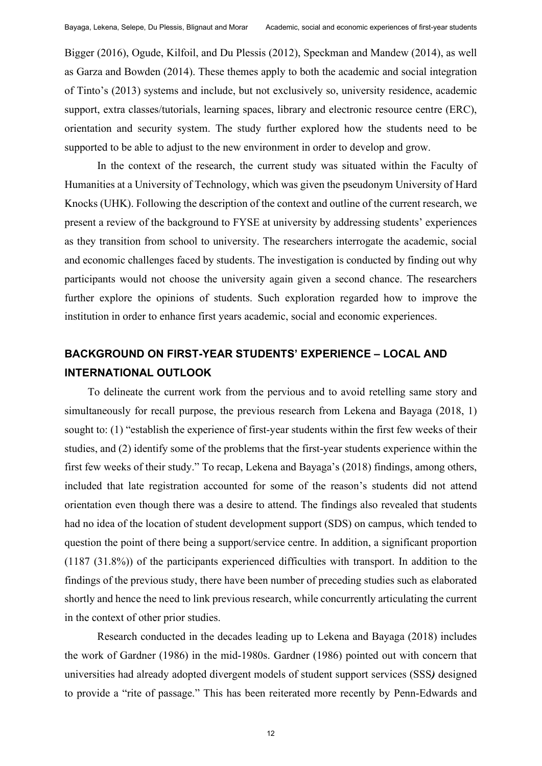Bigger (2016), Ogude, Kilfoil, and Du Plessis (2012), Speckman and Mandew (2014), as well as Garza and Bowden (2014). These themes apply to both the academic and social integration of Tinto's (2013) systems and include, but not exclusively so, university residence, academic support, extra classes/tutorials, learning spaces, library and electronic resource centre (ERC), orientation and security system. The study further explored how the students need to be supported to be able to adjust to the new environment in order to develop and grow.

 In the context of the research, the current study was situated within the Faculty of Humanities at a University of Technology, which was given the pseudonym University of Hard Knocks (UHK). Following the description of the context and outline of the current research, we present a review of the background to FYSE at university by addressing students' experiences as they transition from school to university. The researchers interrogate the academic, social and economic challenges faced by students. The investigation is conducted by finding out why participants would not choose the university again given a second chance. The researchers further explore the opinions of students. Such exploration regarded how to improve the institution in order to enhance first years academic, social and economic experiences.

## **BACKGROUND ON FIRST-YEAR STUDENTS' EXPERIENCE – LOCAL AND INTERNATIONAL OUTLOOK**

To delineate the current work from the pervious and to avoid retelling same story and simultaneously for recall purpose, the previous research from Lekena and Bayaga (2018, 1) sought to: (1) "establish the experience of first-year students within the first few weeks of their studies, and (2) identify some of the problems that the first-year students experience within the first few weeks of their study." To recap, Lekena and Bayaga's (2018) findings, among others, included that late registration accounted for some of the reason's students did not attend orientation even though there was a desire to attend. The findings also revealed that students had no idea of the location of student development support (SDS) on campus, which tended to question the point of there being a support/service centre. In addition, a significant proportion (1187 (31.8%)) of the participants experienced difficulties with transport. In addition to the findings of the previous study, there have been number of preceding studies such as elaborated shortly and hence the need to link previous research, while concurrently articulating the current in the context of other prior studies.

Research conducted in the decades leading up to Lekena and Bayaga (2018) includes the work of Gardner (1986) in the mid-1980s. Gardner (1986) pointed out with concern that universities had already adopted divergent models of student support services (SSS*)* designed to provide a "rite of passage." This has been reiterated more recently by Penn-Edwards and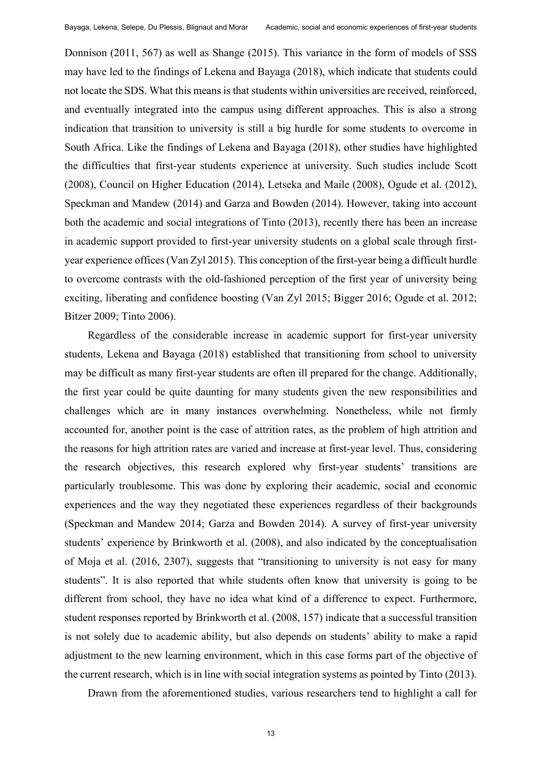Donnison (2011, 567) as well as Shange (2015). This variance in the form of models of SSS may have led to the findings of Lekena and Bayaga (2018), which indicate that students could not locate the SDS. What this means is that students within universities are received, reinforced, and eventually integrated into the campus using different approaches. This is also a strong indication that transition to university is still a big hurdle for some students to overcome in South Africa. Like the findings of Lekena and Bayaga (2018), other studies have highlighted the difficulties that first-year students experience at university. Such studies include Scott (2008), Council on Higher Education (2014), Letseka and Maile (2008), Ogude et al. (2012), Speckman and Mandew (2014) and Garza and Bowden (2014). However, taking into account both the academic and social integrations of Tinto (2013), recently there has been an increase in academic support provided to first-year university students on a global scale through firstyear experience offices (Van Zyl 2015). This conception of the first-year being a difficult hurdle to overcome contrasts with the old-fashioned perception of the first year of university being exciting, liberating and confidence boosting (Van Zyl 2015; Bigger 2016; Ogude et al. 2012; Bitzer 2009; Tinto 2006).

Regardless of the considerable increase in academic support for first-year university students, Lekena and Bayaga (2018) established that transitioning from school to university may be difficult as many first-year students are often ill prepared for the change. Additionally, the first year could be quite daunting for many students given the new responsibilities and challenges which are in many instances overwhelming. Nonetheless, while not firmly accounted for, another point is the case of attrition rates, as the problem of high attrition and the reasons for high attrition rates are varied and increase at first-year level. Thus, considering the research objectives, this research explored why first-year students' transitions are particularly troublesome. This was done by exploring their academic, social and economic experiences and the way they negotiated these experiences regardless of their backgrounds (Speckman and Mandew 2014; Garza and Bowden 2014). A survey of first-year university students' experience by Brinkworth et al. (2008), and also indicated by the conceptualisation of Moja et al. (2016, 2307), suggests that "transitioning to university is not easy for many students". It is also reported that while students often know that university is going to be different from school, they have no idea what kind of a difference to expect. Furthermore, student responses reported by Brinkworth et al. (2008, 157) indicate that a successful transition is not solely due to academic ability, but also depends on students' ability to make a rapid adjustment to the new learning environment, which in this case forms part of the objective of the current research, which is in line with social integration systems as pointed by Tinto (2013).

Drawn from the aforementioned studies, various researchers tend to highlight a call for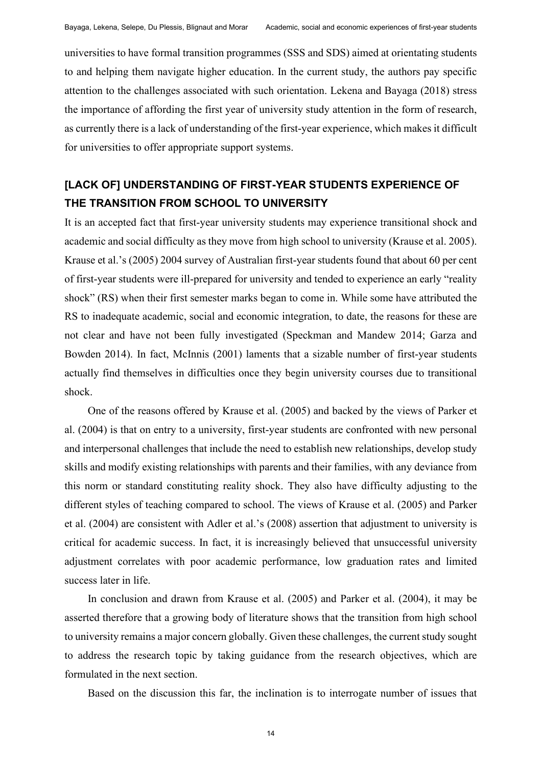universities to have formal transition programmes (SSS and SDS) aimed at orientating students to and helping them navigate higher education. In the current study, the authors pay specific attention to the challenges associated with such orientation. Lekena and Bayaga (2018) stress the importance of affording the first year of university study attention in the form of research, as currently there is a lack of understanding of the first-year experience, which makes it difficult for universities to offer appropriate support systems.

## **[LACK OF] UNDERSTANDING OF FIRST-YEAR STUDENTS EXPERIENCE OF THE TRANSITION FROM SCHOOL TO UNIVERSITY**

It is an accepted fact that first-year university students may experience transitional shock and academic and social difficulty as they move from high school to university (Krause et al. 2005). Krause et al.'s (2005) 2004 survey of Australian first-year students found that about 60 per cent of first-year students were ill-prepared for university and tended to experience an early "reality shock" (RS) when their first semester marks began to come in. While some have attributed the RS to inadequate academic, social and economic integration, to date, the reasons for these are not clear and have not been fully investigated (Speckman and Mandew 2014; Garza and Bowden 2014). In fact, McInnis (2001) laments that a sizable number of first-year students actually find themselves in difficulties once they begin university courses due to transitional shock.

One of the reasons offered by Krause et al. (2005) and backed by the views of Parker et al. (2004) is that on entry to a university, first-year students are confronted with new personal and interpersonal challenges that include the need to establish new relationships, develop study skills and modify existing relationships with parents and their families, with any deviance from this norm or standard constituting reality shock. They also have difficulty adjusting to the different styles of teaching compared to school. The views of Krause et al. (2005) and Parker et al. (2004) are consistent with Adler et al.'s (2008) assertion that adjustment to university is critical for academic success. In fact, it is increasingly believed that unsuccessful university adjustment correlates with poor academic performance, low graduation rates and limited success later in life.

In conclusion and drawn from Krause et al. (2005) and Parker et al. (2004), it may be asserted therefore that a growing body of literature shows that the transition from high school to university remains a major concern globally. Given these challenges, the current study sought to address the research topic by taking guidance from the research objectives, which are formulated in the next section.

Based on the discussion this far, the inclination is to interrogate number of issues that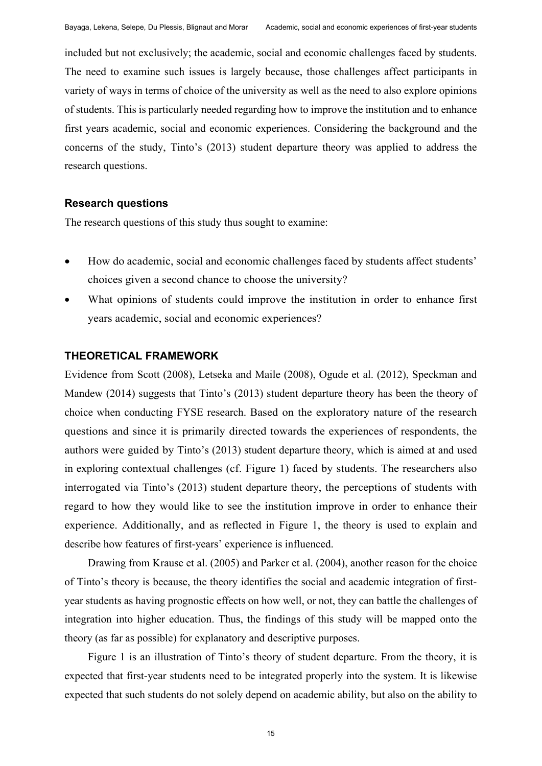included but not exclusively; the academic, social and economic challenges faced by students. The need to examine such issues is largely because, those challenges affect participants in variety of ways in terms of choice of the university as well as the need to also explore opinions of students. This is particularly needed regarding how to improve the institution and to enhance first years academic, social and economic experiences. Considering the background and the concerns of the study, Tinto's (2013) student departure theory was applied to address the research questions.

#### **Research questions**

The research questions of this study thus sought to examine:

- How do academic, social and economic challenges faced by students affect students' choices given a second chance to choose the university?
- What opinions of students could improve the institution in order to enhance first years academic, social and economic experiences?

### **THEORETICAL FRAMEWORK**

Evidence from Scott (2008), Letseka and Maile (2008), Ogude et al. (2012), Speckman and Mandew (2014) suggests that Tinto's (2013) student departure theory has been the theory of choice when conducting FYSE research. Based on the exploratory nature of the research questions and since it is primarily directed towards the experiences of respondents, the authors were guided by Tinto's (2013) student departure theory, which is aimed at and used in exploring contextual challenges (cf. Figure 1) faced by students. The researchers also interrogated via Tinto's (2013) student departure theory, the perceptions of students with regard to how they would like to see the institution improve in order to enhance their experience. Additionally, and as reflected in Figure 1, the theory is used to explain and describe how features of first-years' experience is influenced.

Drawing from Krause et al. (2005) and Parker et al. (2004), another reason for the choice of Tinto's theory is because, the theory identifies the social and academic integration of firstyear students as having prognostic effects on how well, or not, they can battle the challenges of integration into higher education. Thus, the findings of this study will be mapped onto the theory (as far as possible) for explanatory and descriptive purposes.

Figure 1 is an illustration of Tinto's theory of student departure. From the theory, it is expected that first-year students need to be integrated properly into the system. It is likewise expected that such students do not solely depend on academic ability, but also on the ability to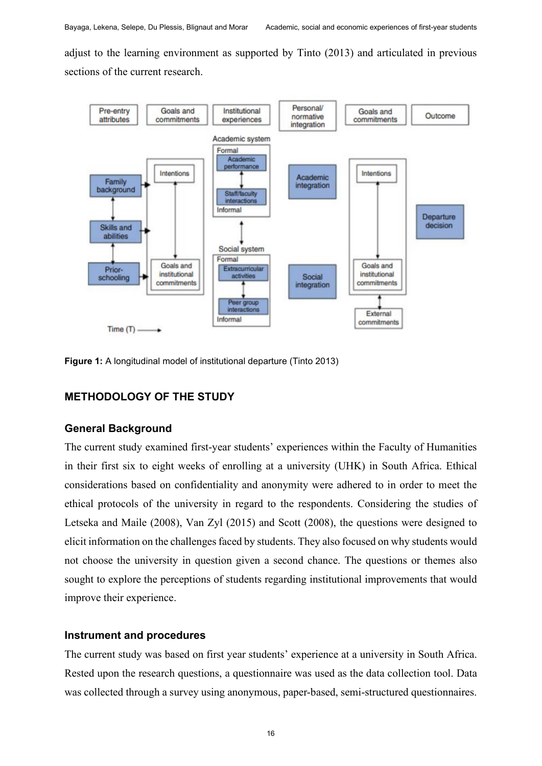adjust to the learning environment as supported by Tinto (2013) and articulated in previous sections of the current research.



**Figure 1:** A longitudinal model of institutional departure (Tinto 2013)

## **METHODOLOGY OF THE STUDY**

#### **General Background**

The current study examined first-year students' experiences within the Faculty of Humanities in their first six to eight weeks of enrolling at a university (UHK) in South Africa. Ethical considerations based on confidentiality and anonymity were adhered to in order to meet the ethical protocols of the university in regard to the respondents. Considering the studies of Letseka and Maile (2008), Van Zyl (2015) and Scott (2008), the questions were designed to elicit information on the challenges faced by students. They also focused on why students would not choose the university in question given a second chance. The questions or themes also sought to explore the perceptions of students regarding institutional improvements that would improve their experience.

#### **Instrument and procedures**

The current study was based on first year students' experience at a university in South Africa. Rested upon the research questions, a questionnaire was used as the data collection tool. Data was collected through a survey using anonymous, paper-based, semi-structured questionnaires.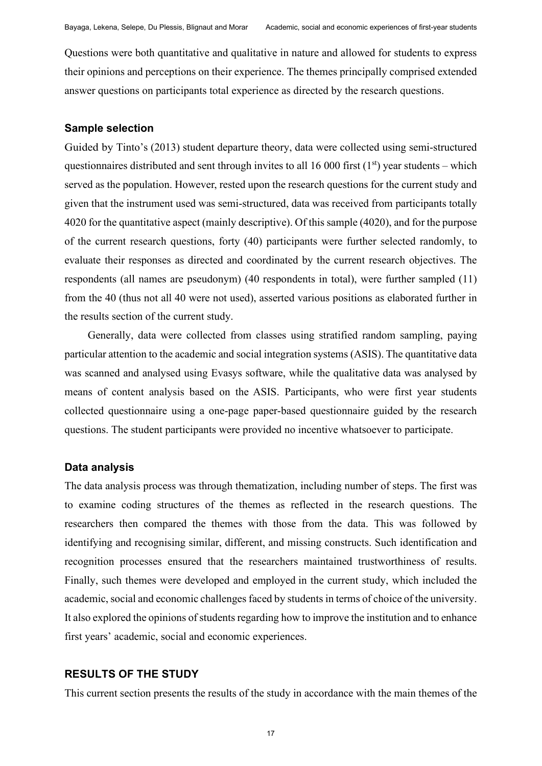Questions were both quantitative and qualitative in nature and allowed for students to express their opinions and perceptions on their experience. The themes principally comprised extended answer questions on participants total experience as directed by the research questions.

#### **Sample selection**

Guided by Tinto's (2013) student departure theory, data were collected using semi-structured questionnaires distributed and sent through invites to all 16 000 first  $(1<sup>st</sup>)$  year students – which served as the population. However, rested upon the research questions for the current study and given that the instrument used was semi-structured, data was received from participants totally 4020 for the quantitative aspect (mainly descriptive). Of this sample (4020), and for the purpose of the current research questions, forty (40) participants were further selected randomly, to evaluate their responses as directed and coordinated by the current research objectives. The respondents (all names are pseudonym) (40 respondents in total), were further sampled (11) from the 40 (thus not all 40 were not used), asserted various positions as elaborated further in the results section of the current study.

Generally, data were collected from classes using stratified random sampling, paying particular attention to the academic and social integration systems (ASIS). The quantitative data was scanned and analysed using Evasys software, while the qualitative data was analysed by means of content analysis based on the ASIS. Participants, who were first year students collected questionnaire using a one-page paper-based questionnaire guided by the research questions. The student participants were provided no incentive whatsoever to participate.

#### **Data analysis**

The data analysis process was through thematization, including number of steps. The first was to examine coding structures of the themes as reflected in the research questions. The researchers then compared the themes with those from the data. This was followed by identifying and recognising similar, different, and missing constructs. Such identification and recognition processes ensured that the researchers maintained trustworthiness of results. Finally, such themes were developed and employed in the current study, which included the academic, social and economic challenges faced by students in terms of choice of the university. It also explored the opinions of students regarding how to improve the institution and to enhance first years' academic, social and economic experiences.

### **RESULTS OF THE STUDY**

This current section presents the results of the study in accordance with the main themes of the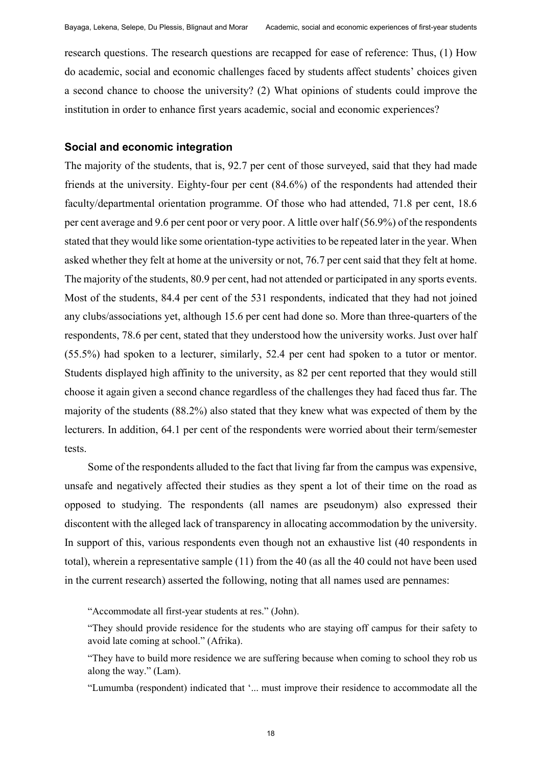research questions. The research questions are recapped for ease of reference: Thus, (1) How do academic, social and economic challenges faced by students affect students' choices given a second chance to choose the university? (2) What opinions of students could improve the institution in order to enhance first years academic, social and economic experiences?

## **Social and economic integration**

The majority of the students, that is, 92.7 per cent of those surveyed, said that they had made friends at the university. Eighty-four per cent (84.6%) of the respondents had attended their faculty/departmental orientation programme. Of those who had attended, 71.8 per cent, 18.6 per cent average and 9.6 per cent poor or very poor. A little over half (56.9%) of the respondents stated that they would like some orientation-type activities to be repeated later in the year. When asked whether they felt at home at the university or not, 76.7 per cent said that they felt at home. The majority of the students, 80.9 per cent, had not attended or participated in any sports events. Most of the students, 84.4 per cent of the 531 respondents, indicated that they had not joined any clubs/associations yet, although 15.6 per cent had done so. More than three-quarters of the respondents, 78.6 per cent, stated that they understood how the university works. Just over half (55.5%) had spoken to a lecturer, similarly, 52.4 per cent had spoken to a tutor or mentor. Students displayed high affinity to the university, as 82 per cent reported that they would still choose it again given a second chance regardless of the challenges they had faced thus far. The majority of the students (88.2%) also stated that they knew what was expected of them by the lecturers. In addition, 64.1 per cent of the respondents were worried about their term/semester tests.

Some of the respondents alluded to the fact that living far from the campus was expensive, unsafe and negatively affected their studies as they spent a lot of their time on the road as opposed to studying. The respondents (all names are pseudonym) also expressed their discontent with the alleged lack of transparency in allocating accommodation by the university. In support of this, various respondents even though not an exhaustive list (40 respondents in total), wherein a representative sample (11) from the 40 (as all the 40 could not have been used in the current research) asserted the following, noting that all names used are pennames:

"Accommodate all first-year students at res." (John).

"Lumumba (respondent) indicated that '... must improve their residence to accommodate all the

<sup>&</sup>quot;They should provide residence for the students who are staying off campus for their safety to avoid late coming at school." (Afrika).

<sup>&</sup>quot;They have to build more residence we are suffering because when coming to school they rob us along the way." (Lam).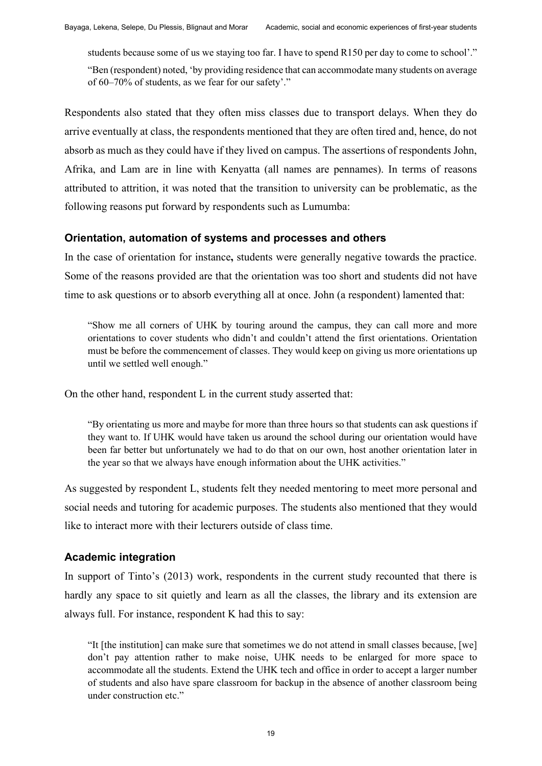students because some of us we staying too far. I have to spend R150 per day to come to school'." "Ben (respondent) noted, 'by providing residence that can accommodate many students on average of 60–70% of students, as we fear for our safety'."

Respondents also stated that they often miss classes due to transport delays. When they do arrive eventually at class, the respondents mentioned that they are often tired and, hence, do not absorb as much as they could have if they lived on campus. The assertions of respondents John, Afrika, and Lam are in line with Kenyatta (all names are pennames). In terms of reasons attributed to attrition, it was noted that the transition to university can be problematic, as the following reasons put forward by respondents such as Lumumba:

### **Orientation, automation of systems and processes and others**

In the case of orientation for instance**,** students were generally negative towards the practice. Some of the reasons provided are that the orientation was too short and students did not have time to ask questions or to absorb everything all at once. John (a respondent) lamented that:

"Show me all corners of UHK by touring around the campus, they can call more and more orientations to cover students who didn't and couldn't attend the first orientations. Orientation must be before the commencement of classes. They would keep on giving us more orientations up until we settled well enough."

On the other hand, respondent L in the current study asserted that:

"By orientating us more and maybe for more than three hours so that students can ask questions if they want to. If UHK would have taken us around the school during our orientation would have been far better but unfortunately we had to do that on our own, host another orientation later in the year so that we always have enough information about the UHK activities."

As suggested by respondent L, students felt they needed mentoring to meet more personal and social needs and tutoring for academic purposes. The students also mentioned that they would like to interact more with their lecturers outside of class time.

## **Academic integration**

In support of Tinto's (2013) work, respondents in the current study recounted that there is hardly any space to sit quietly and learn as all the classes, the library and its extension are always full. For instance, respondent K had this to say:

"It [the institution] can make sure that sometimes we do not attend in small classes because, [we] don't pay attention rather to make noise, UHK needs to be enlarged for more space to accommodate all the students. Extend the UHK tech and office in order to accept a larger number of students and also have spare classroom for backup in the absence of another classroom being under construction etc."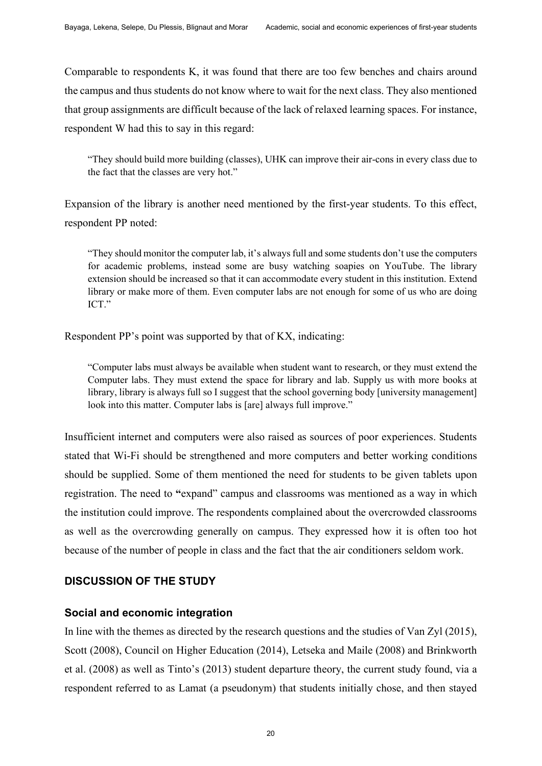Comparable to respondents K, it was found that there are too few benches and chairs around the campus and thus students do not know where to wait for the next class. They also mentioned that group assignments are difficult because of the lack of relaxed learning spaces. For instance, respondent W had this to say in this regard:

"They should build more building (classes), UHK can improve their air-cons in every class due to the fact that the classes are very hot."

Expansion of the library is another need mentioned by the first-year students. To this effect, respondent PP noted:

"They should monitor the computer lab, it's always full and some students don't use the computers for academic problems, instead some are busy watching soapies on YouTube. The library extension should be increased so that it can accommodate every student in this institution. Extend library or make more of them. Even computer labs are not enough for some of us who are doing ICT."

Respondent PP's point was supported by that of KX, indicating:

"Computer labs must always be available when student want to research, or they must extend the Computer labs. They must extend the space for library and lab. Supply us with more books at library, library is always full so I suggest that the school governing body [university management] look into this matter. Computer labs is [are] always full improve."

Insufficient internet and computers were also raised as sources of poor experiences. Students stated that Wi-Fi should be strengthened and more computers and better working conditions should be supplied. Some of them mentioned the need for students to be given tablets upon registration. The need to **"**expand" campus and classrooms was mentioned as a way in which the institution could improve. The respondents complained about the overcrowded classrooms as well as the overcrowding generally on campus. They expressed how it is often too hot because of the number of people in class and the fact that the air conditioners seldom work.

## **DISCUSSION OF THE STUDY**

#### **Social and economic integration**

In line with the themes as directed by the research questions and the studies of Van Zyl (2015), Scott (2008), Council on Higher Education (2014), Letseka and Maile (2008) and Brinkworth et al. (2008) as well as Tinto's (2013) student departure theory, the current study found, via a respondent referred to as Lamat (a pseudonym) that students initially chose, and then stayed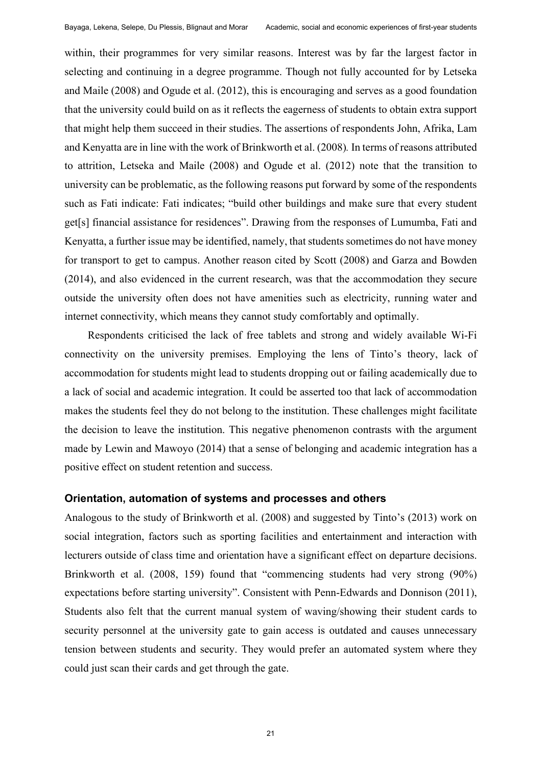within, their programmes for very similar reasons. Interest was by far the largest factor in selecting and continuing in a degree programme. Though not fully accounted for by Letseka and Maile (2008) and Ogude et al. (2012), this is encouraging and serves as a good foundation that the university could build on as it reflects the eagerness of students to obtain extra support that might help them succeed in their studies. The assertions of respondents John, Afrika, Lam and Kenyatta are in line with the work of Brinkworth et al. (2008)*.* In terms of reasons attributed to attrition, Letseka and Maile (2008) and Ogude et al. (2012) note that the transition to university can be problematic, as the following reasons put forward by some of the respondents such as Fati indicate: Fati indicates; "build other buildings and make sure that every student get[s] financial assistance for residences". Drawing from the responses of Lumumba, Fati and Kenyatta, a further issue may be identified, namely, that students sometimes do not have money for transport to get to campus. Another reason cited by Scott (2008) and Garza and Bowden (2014), and also evidenced in the current research, was that the accommodation they secure outside the university often does not have amenities such as electricity, running water and internet connectivity, which means they cannot study comfortably and optimally.

Respondents criticised the lack of free tablets and strong and widely available Wi-Fi connectivity on the university premises. Employing the lens of Tinto's theory, lack of accommodation for students might lead to students dropping out or failing academically due to a lack of social and academic integration. It could be asserted too that lack of accommodation makes the students feel they do not belong to the institution. These challenges might facilitate the decision to leave the institution. This negative phenomenon contrasts with the argument made by Lewin and Mawoyo (2014) that a sense of belonging and academic integration has a positive effect on student retention and success.

#### **Orientation, automation of systems and processes and others**

Analogous to the study of Brinkworth et al. (2008) and suggested by Tinto's (2013) work on social integration, factors such as sporting facilities and entertainment and interaction with lecturers outside of class time and orientation have a significant effect on departure decisions. Brinkworth et al. (2008, 159) found that "commencing students had very strong (90%) expectations before starting university". Consistent with Penn-Edwards and Donnison (2011), Students also felt that the current manual system of waving/showing their student cards to security personnel at the university gate to gain access is outdated and causes unnecessary tension between students and security. They would prefer an automated system where they could just scan their cards and get through the gate.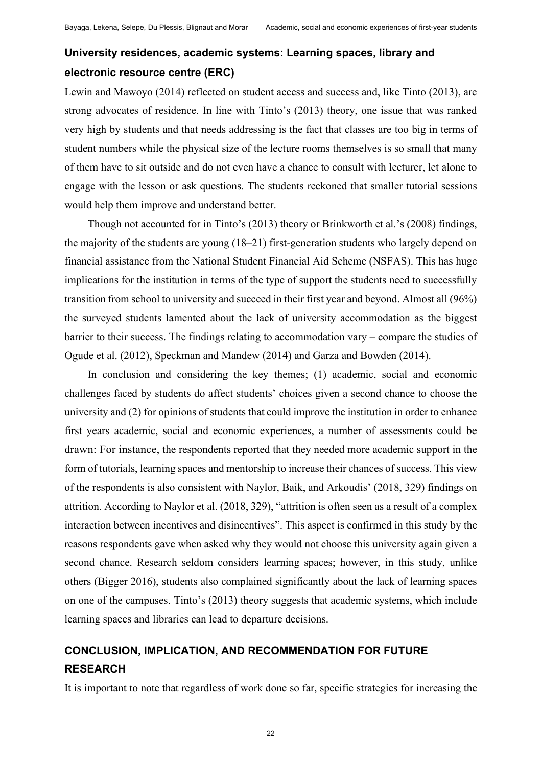## **University residences, academic systems: Learning spaces, library and electronic resource centre (ERC)**

Lewin and Mawoyo (2014) reflected on student access and success and, like Tinto (2013), are strong advocates of residence. In line with Tinto's (2013) theory, one issue that was ranked very high by students and that needs addressing is the fact that classes are too big in terms of student numbers while the physical size of the lecture rooms themselves is so small that many of them have to sit outside and do not even have a chance to consult with lecturer, let alone to engage with the lesson or ask questions. The students reckoned that smaller tutorial sessions would help them improve and understand better.

Though not accounted for in Tinto's (2013) theory or Brinkworth et al.'s (2008) findings, the majority of the students are young (18–21) first-generation students who largely depend on financial assistance from the National Student Financial Aid Scheme (NSFAS). This has huge implications for the institution in terms of the type of support the students need to successfully transition from school to university and succeed in their first year and beyond. Almost all (96%) the surveyed students lamented about the lack of university accommodation as the biggest barrier to their success. The findings relating to accommodation vary – compare the studies of Ogude et al. (2012), Speckman and Mandew (2014) and Garza and Bowden (2014).

In conclusion and considering the key themes; (1) academic, social and economic challenges faced by students do affect students' choices given a second chance to choose the university and (2) for opinions of students that could improve the institution in order to enhance first years academic, social and economic experiences, a number of assessments could be drawn: For instance, the respondents reported that they needed more academic support in the form of tutorials, learning spaces and mentorship to increase their chances of success. This view of the respondents is also consistent with Naylor, Baik, and Arkoudis' (2018, 329) findings on attrition. According to Naylor et al. (2018, 329), "attrition is often seen as a result of a complex interaction between incentives and disincentives". This aspect is confirmed in this study by the reasons respondents gave when asked why they would not choose this university again given a second chance. Research seldom considers learning spaces; however, in this study, unlike others (Bigger 2016), students also complained significantly about the lack of learning spaces on one of the campuses. Tinto's (2013) theory suggests that academic systems, which include learning spaces and libraries can lead to departure decisions.

## **CONCLUSION, IMPLICATION, AND RECOMMENDATION FOR FUTURE RESEARCH**

It is important to note that regardless of work done so far, specific strategies for increasing the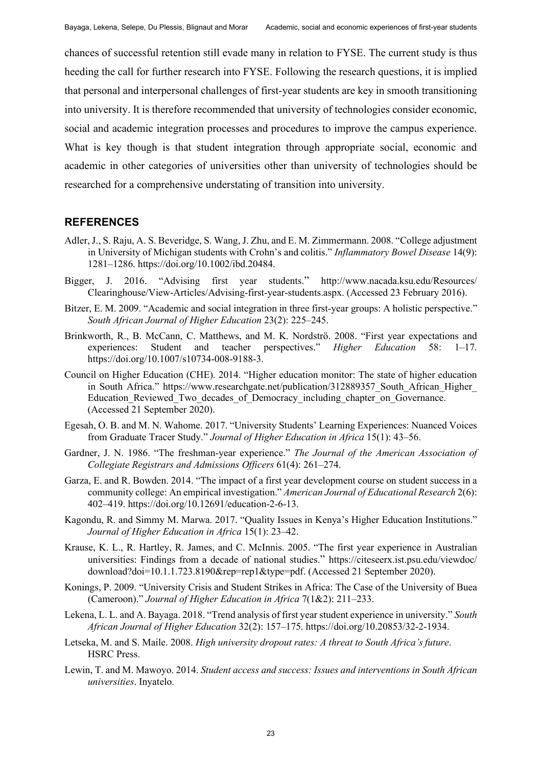chances of successful retention still evade many in relation to FYSE. The current study is thus heeding the call for further research into FYSE. Following the research questions, it is implied that personal and interpersonal challenges of first-year students are key in smooth transitioning into university. It is therefore recommended that university of technologies consider economic, social and academic integration processes and procedures to improve the campus experience. What is key though is that student integration through appropriate social, economic and academic in other categories of universities other than university of technologies should be researched for a comprehensive understating of transition into university.

#### **REFERENCES**

- Adler, J., S. Raju, A. S. Beveridge, S. Wang, J. Zhu, and E. M. Zimmermann. 2008. "College adjustment in University of Michigan students with Crohn's and colitis." *Inflammatory Bowel Disease* 14(9): 1281–1286. https://doi.org[/10.1002/ibd.20484.](https://doi.org/10.1002/ibd.20484)
- Bigger, J. 2016. "Advising first year students." [http://www.nacada.ksu.edu/Resources/](http://www.nacada.ksu.edu/Resources/Clearinghouse/View-Articles/Advising-)  [Clearinghouse/View-Articles/Advising-f](http://www.nacada.ksu.edu/Resources/Clearinghouse/View-Articles/Advising-)irst-year-students.aspx. (Accessed 23 February 2016).
- Bitzer, E. M. 2009. "Academic and social integration in three first-year groups: A holistic perspective." *South African Journal of Higher Education* 23(2): 225–245.
- Brinkworth, R., B. McCann, C. Matthews, and M. K. Nordströ. 2008. "First year expectations and experiences: Student and teacher perspectives." *Higher Education* 58: 1–17. https://doi.org/10.1007/s10734-008-9188-3.
- Council on Higher Education (CHE). 2014. "Higher education monitor: The state of higher education in South Africa." https://www.researchgate.net/publication/312889357 South African Higher [Ed](https://www.researchgate.net/publication/312889357_South_African_Higher_E)ucation Reviewed Two decades of Democracy including chapter on Governance. (Accessed 21 September 2020).
- Egesah, O. B. and M. N. Wahome. 2017. "University Students' Learning Experiences: Nuanced Voices from Graduate Tracer Study." *Journal of Higher Education in Africa* 15(1): 43‒56.
- Gardner, J. N. 1986. "The freshman-year experience." *The Journal of the American Association of Collegiate Registrars and Admissions Officers* 61(4): 261–274.
- Garza, E. and R. Bowden. 2014. "The impact of a first year development course on student success in a community college: An empirical investigation." *American Journal of Educational Research* 2(6): 402–419. https://doi.org[/10.12691/education-2-6-13.](https://www.researchgate.net/deref/http%3A%2F%2Fdx.doi.org%2F10.12691%2Feducation-2-6-13)
- Kagondu, R. and Simmy M. Marwa. 2017. "Quality Issues in Kenya's Higher Education Institutions." *Journal of Higher Education in Africa* 15(1): 23‒42.
- Krause, K. L., R. Hartley, R. James, and C. McInnis. 2005. "The first year experience in Australian universities: Findings from a decade of national studies." [https://citeseerx.ist.psu.edu/viewdoc/](https://citeseerx.ist.psu.edu/viewdoc/download?doi=10.1.1.723.8190&rep=rep1)  [download?doi=10.1.1.723.8190&rep=rep1&](https://citeseerx.ist.psu.edu/viewdoc/download?doi=10.1.1.723.8190&rep=rep1)type=pdf. (Accessed 21 September 2020).
- Konings, P. 2009. "University Crisis and Student Strikes in Africa: The Case of the University of Buea (Cameroon)." *Journal of Higher Education in Africa* 7(1&2): 211–233.
- Lekena, L. L. and A. Bayaga. 2018. "Trend analysis of first year student experience in university." *South African Journal of Higher Education* 32(2): 157‒175. [https://doi.org/10.20853/32-2-1934.](https://doi.org/10.20853/32-2-1934)
- Letseka, M. and S. Maile. 2008. *High university dropout rates: A threat to South Africa'sfuture*. HSRC Press.
- Lewin, T. and M. Mawoyo. 2014. *Student access and success: Issues and interventions in South African universities*. Inyatelo.